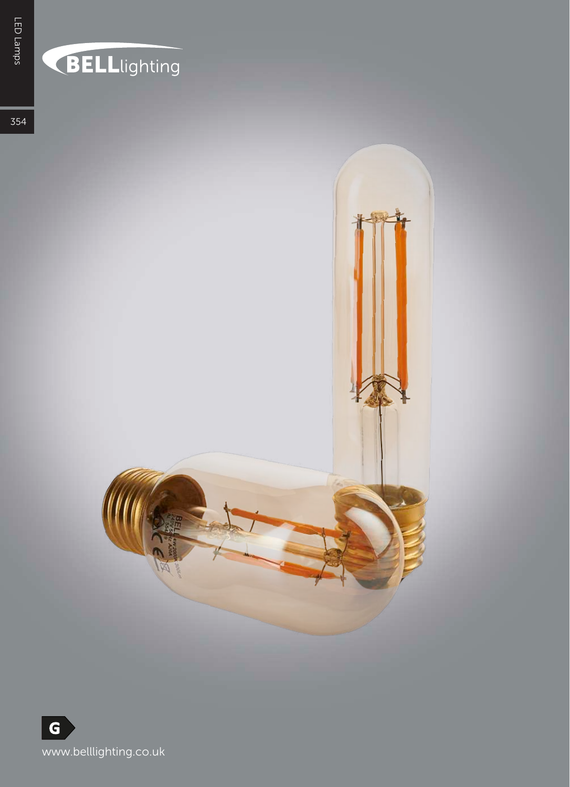## **BELL**lighting

354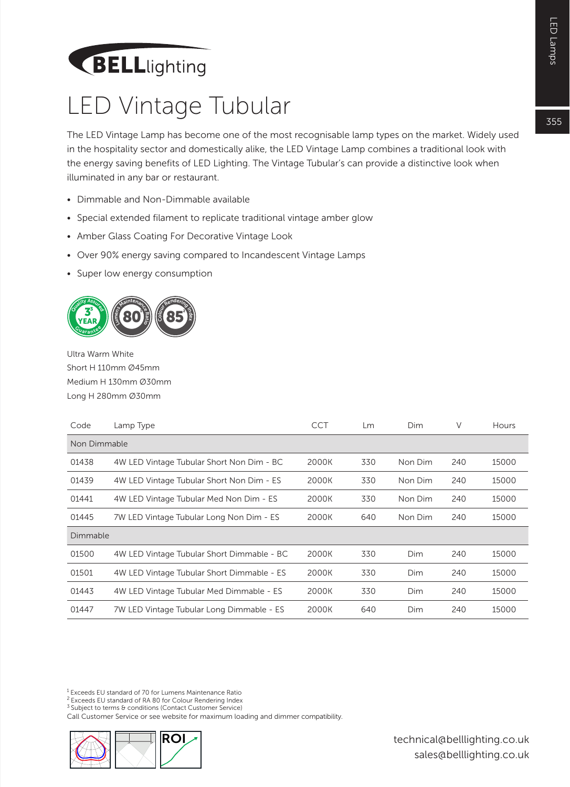$355$ 

## **BELL**lighting

## LED Vintage Tubular

The LED Vintage Lamp has become one of the most recognisable lamp types on the market. Widely used in the hospitality sector and domestically alike, the LED Vintage Lamp combines a traditional look with the energy saving benefits of LED Lighting. The Vintage Tubular's can provide a distinctive look when illuminated in any bar or restaurant.

- Dimmable and Non-Dimmable available
- Special extended filament to replicate traditional vintage amber glow
- Amber Glass Coating For Decorative Vintage Look
- Over 90% energy saving compared to Incandescent Vintage Lamps
- Super low energy consumption



Ultra Warm White Short H 110mm Ø45mm Medium H 130mm Ø30mm Long H 280mm Ø30mm

| Code         | Lamp Type                                  | CCT   | Lm  | Dim     | V   | Hours |
|--------------|--------------------------------------------|-------|-----|---------|-----|-------|
| Non Dimmable |                                            |       |     |         |     |       |
| 01438        | 4W LED Vintage Tubular Short Non Dim - BC  | 2000K | 330 | Non Dim | 240 | 15000 |
| 01439        | 4W LED Vintage Tubular Short Non Dim - ES  | 2000K | 330 | Non Dim | 240 | 15000 |
| 01441        | 4W LED Vintage Tubular Med Non Dim - ES    | 2000K | 330 | Non Dim | 240 | 15000 |
| 01445        | 7W LED Vintage Tubular Long Non Dim - ES   | 2000K | 640 | Non Dim | 240 | 15000 |
| Dimmable     |                                            |       |     |         |     |       |
| 01500        | 4W LED Vintage Tubular Short Dimmable - BC | 2000K | 330 | Dim     | 240 | 15000 |
| 01501        | 4W LED Vintage Tubular Short Dimmable - ES | 2000K | 330 | Dim     | 240 | 15000 |
| 01443        | 4W LED Vintage Tubular Med Dimmable - ES   | 2000K | 330 | Dim     | 240 | 15000 |
| 01447        | 7W LED Vintage Tubular Long Dimmable - ES  | 2000K | 640 | Dim     | 240 | 15000 |

1 Exceeds EU standard of 70 for Lumens Maintenance Ratio

2 Exceeds EU standard of RA 80 for Colour Rendering Index

3 Subject to terms & conditions (Contact Customer Service)

Call Customer Service or see website for maximum loading and dimmer compatibility.



technical@belllighting.co.uk sales@belllighting.co.uk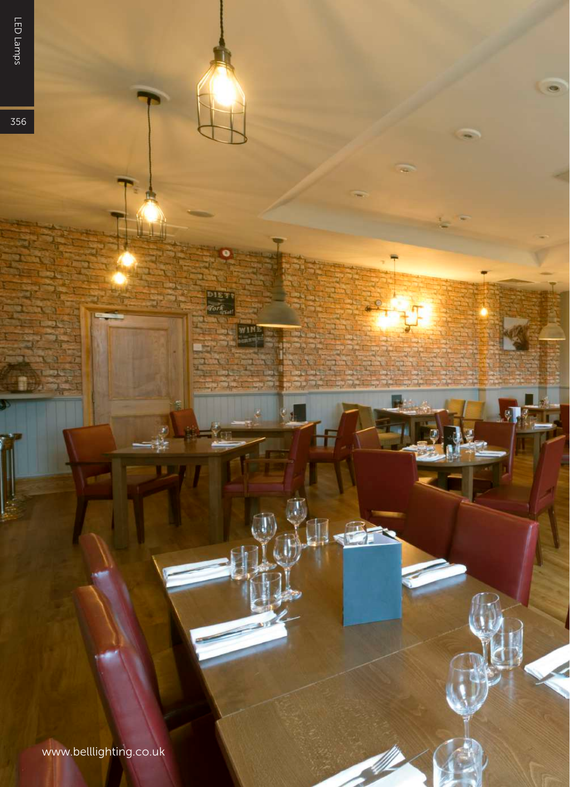356<br>Lambs<br>356 356

LED Lamps

www.belllighting.co.uk

HEI

ō

WIND

DIE Tork